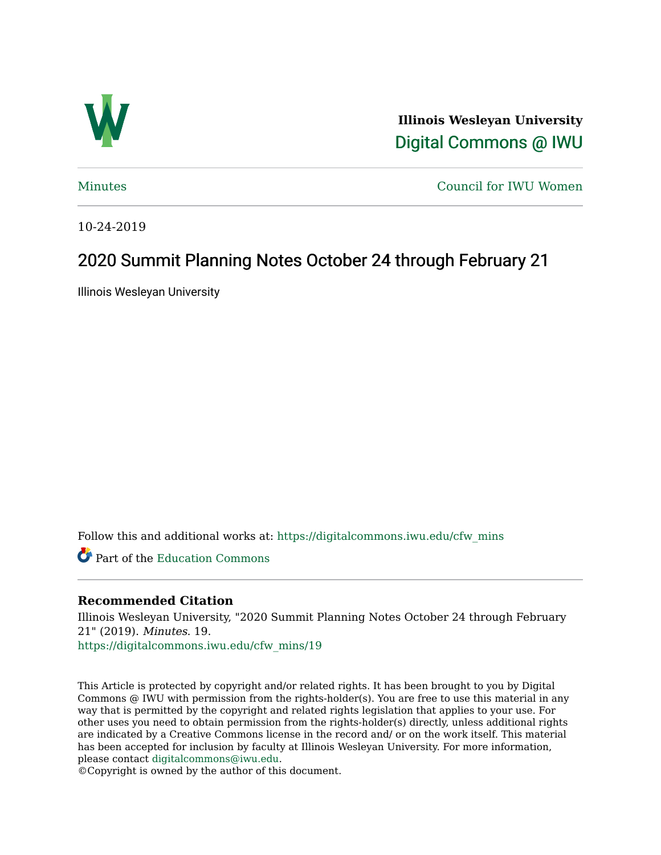

**Illinois Wesleyan University**  [Digital Commons @ IWU](https://digitalcommons.iwu.edu/) 

[Minutes](https://digitalcommons.iwu.edu/cfw_mins) [Council for IWU Women](https://digitalcommons.iwu.edu/alumni_cfw) 

10-24-2019

# 2020 Summit Planning Notes October 24 through February 21

Illinois Wesleyan University

Follow this and additional works at: [https://digitalcommons.iwu.edu/cfw\\_mins](https://digitalcommons.iwu.edu/cfw_mins?utm_source=digitalcommons.iwu.edu%2Fcfw_mins%2F19&utm_medium=PDF&utm_campaign=PDFCoverPages)

Part of the [Education Commons](http://network.bepress.com/hgg/discipline/784?utm_source=digitalcommons.iwu.edu%2Fcfw_mins%2F19&utm_medium=PDF&utm_campaign=PDFCoverPages)

# **Recommended Citation**

Illinois Wesleyan University, "2020 Summit Planning Notes October 24 through February 21" (2019). Minutes. 19. [https://digitalcommons.iwu.edu/cfw\\_mins/19](https://digitalcommons.iwu.edu/cfw_mins/19?utm_source=digitalcommons.iwu.edu%2Fcfw_mins%2F19&utm_medium=PDF&utm_campaign=PDFCoverPages) 

This Article is protected by copyright and/or related rights. It has been brought to you by Digital Commons @ IWU with permission from the rights-holder(s). You are free to use this material in any way that is permitted by the copyright and related rights legislation that applies to your use. For other uses you need to obtain permission from the rights-holder(s) directly, unless additional rights are indicated by a Creative Commons license in the record and/ or on the work itself. This material has been accepted for inclusion by faculty at Illinois Wesleyan University. For more information, please contact [digitalcommons@iwu.edu.](mailto:digitalcommons@iwu.edu)

©Copyright is owned by the author of this document.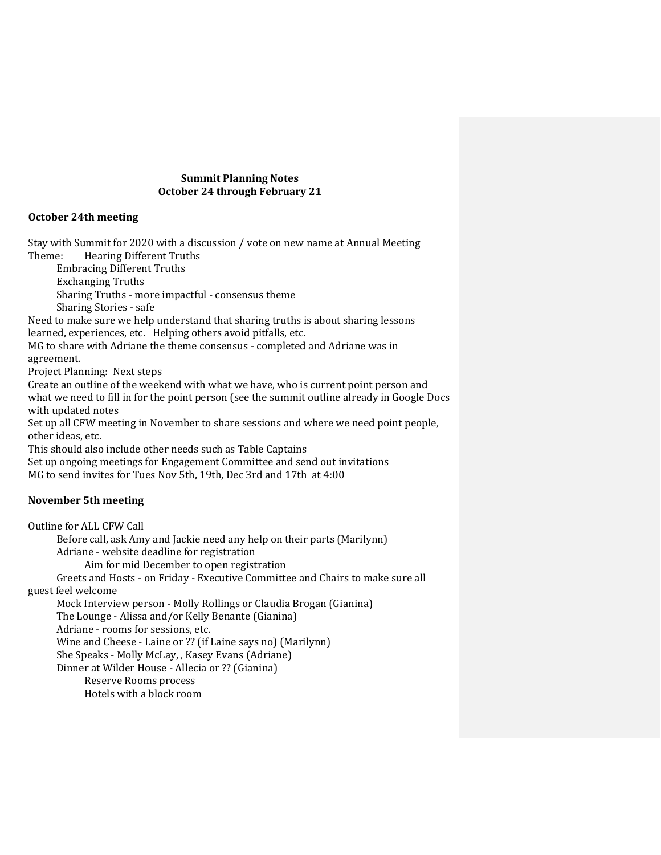### **Summit Planning Notes October 24 through February 21**

## **October 24th meeting**

Stay with Summit for 2020 with a discussion / vote on new name at Annual Meeting

Theme: Hearing Different Truths Embracing Different Truths

Exchanging Truths

Sharing Truths - more impactful - consensus theme Sharing Stories - safe

Need to make sure we help understand that sharing truths is about sharing lessons learned, experiences, etc. Helping others avoid pitfalls, etc.

MG to share with Adriane the theme consensus - completed and Adriane was in agreement.

Project Planning: Next steps

Create an outline of the weekend with what we have, who is current point person and what we need to fill in for the point person (see the summit outline already in Google Docs with updated notes

Set up all CFW meeting in November to share sessions and where we need point people, other ideas, etc.

This should also include other needs such as Table Captains

Set up ongoing meetings for Engagement Committee and send out invitations MG to send invites for Tues Nov 5th, 19th, Dec 3rd and 17th at 4:00

# **November 5th meeting**

Outline for ALL CFW Call Before call, ask Amy and Jackie need any help on their parts (Marilynn)

Adriane - website deadline for registration

Aim for mid December to open registration

Greets and Hosts - on Friday - Executive Committee and Chairs to make sure all guest feel welcome

Mock Interview person - Molly Rollings or Claudia Brogan (Gianina)

The Lounge - Alissa and/or Kelly Benante (Gianina)

Adriane - rooms for sessions, etc.

Wine and Cheese - Laine or ?? (if Laine says no) (Marilynn)

She Speaks - Molly McLay, , Kasey Evans (Adriane)

Dinner at Wilder House - Allecia or ?? (Gianina)

Reserve Rooms process

Hotels with a block room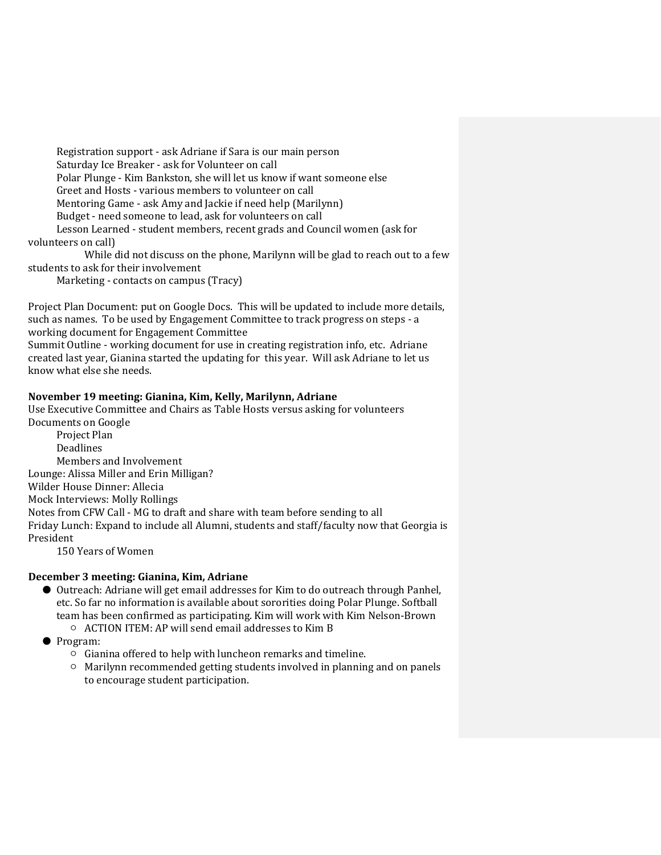Registration support - ask Adriane if Sara is our main person Saturday Ice Breaker - ask for Volunteer on call Polar Plunge - Kim Bankston, she will let us know if want someone else Greet and Hosts - various members to volunteer on call Mentoring Game - ask Amy and Jackie if need help (Marilynn) Budget - need someone to lead, ask for volunteers on call Lesson Learned - student members, recent grads and Council women (ask for volunteers on call)

While did not discuss on the phone, Marilynn will be glad to reach out to a few students to ask for their involvement

Marketing - contacts on campus (Tracy)

Project Plan Document: put on Google Docs. This will be updated to include more details, such as names. To be used by Engagement Committee to track progress on steps - a working document for Engagement Committee

Summit Outline - working document for use in creating registration info, etc. Adriane created last year, Gianina started the updating for this year. Will ask Adriane to let us know what else she needs.

## **November 19 meeting: Gianina, Kim, Kelly, Marilynn, Adriane**

Use Executive Committee and Chairs as Table Hosts versus asking for volunteers Documents on Google

Project Plan Deadlines Members and Involvement Lounge: Alissa Miller and Erin Milligan? Wilder House Dinner: Allecia Mock Interviews: Molly Rollings Notes from CFW Call - MG to draft and share with team before sending to all Friday Lunch: Expand to include all Alumni, students and staff/faculty now that Georgia is President

150 Years of Women

### **December 3 meeting: Gianina, Kim, Adriane**

- Outreach: Adriane will get email addresses for Kim to do outreach through Panhel, etc. So far no information is available about sororities doing Polar Plunge. Softball team has been confirmed as participating. Kim will work with Kim Nelson-Brown ○ ACTION ITEM: AP will send email addresses to Kim B
- Program:
	- Gianina offered to help with luncheon remarks and timeline.
	- Marilynn recommended getting students involved in planning and on panels to encourage student participation.